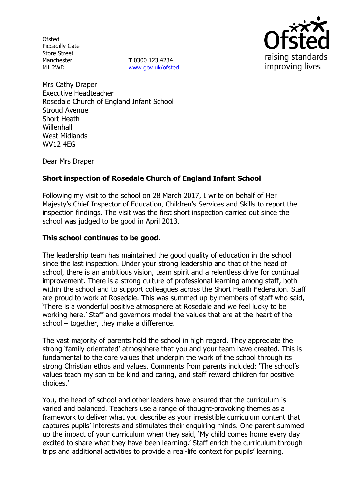**Ofsted** Piccadilly Gate Store Street Manchester M1 2WD

**T** 0300 123 4234 www.gov.uk/ofsted



Mrs Cathy Draper Executive Headteacher Rosedale Church of England Infant School Stroud Avenue Short Heath **Willenhall** West Midlands WV12 4EG

Dear Mrs Draper

# **Short inspection of Rosedale Church of England Infant School**

Following my visit to the school on 28 March 2017, I write on behalf of Her Majesty's Chief Inspector of Education, Children's Services and Skills to report the inspection findings. The visit was the first short inspection carried out since the school was judged to be good in April 2013.

## **This school continues to be good.**

The leadership team has maintained the good quality of education in the school since the last inspection. Under your strong leadership and that of the head of school, there is an ambitious vision, team spirit and a relentless drive for continual improvement. There is a strong culture of professional learning among staff, both within the school and to support colleagues across the Short Heath Federation. Staff are proud to work at Rosedale. This was summed up by members of staff who said, 'There is a wonderful positive atmosphere at Rosedale and we feel lucky to be working here.' Staff and governors model the values that are at the heart of the school – together, they make a difference.

The vast majority of parents hold the school in high regard. They appreciate the strong 'family orientated' atmosphere that you and your team have created. This is fundamental to the core values that underpin the work of the school through its strong Christian ethos and values. Comments from parents included: 'The school's values teach my son to be kind and caring, and staff reward children for positive choices.'

You, the head of school and other leaders have ensured that the curriculum is varied and balanced. Teachers use a range of thought-provoking themes as a framework to deliver what you describe as your irresistible curriculum content that captures pupils' interests and stimulates their enquiring minds. One parent summed up the impact of your curriculum when they said, 'My child comes home every day excited to share what they have been learning.' Staff enrich the curriculum through trips and additional activities to provide a real-life context for pupils' learning.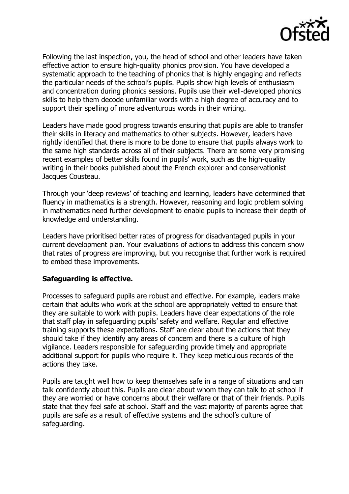

Following the last inspection, you, the head of school and other leaders have taken effective action to ensure high-quality phonics provision. You have developed a systematic approach to the teaching of phonics that is highly engaging and reflects the particular needs of the school's pupils. Pupils show high levels of enthusiasm and concentration during phonics sessions. Pupils use their well-developed phonics skills to help them decode unfamiliar words with a high degree of accuracy and to support their spelling of more adventurous words in their writing.

Leaders have made good progress towards ensuring that pupils are able to transfer their skills in literacy and mathematics to other subjects. However, leaders have rightly identified that there is more to be done to ensure that pupils always work to the same high standards across all of their subjects. There are some very promising recent examples of better skills found in pupils' work, such as the high-quality writing in their books published about the French explorer and conservationist Jacques Cousteau.

Through your 'deep reviews' of teaching and learning, leaders have determined that fluency in mathematics is a strength. However, reasoning and logic problem solving in mathematics need further development to enable pupils to increase their depth of knowledge and understanding.

Leaders have prioritised better rates of progress for disadvantaged pupils in your current development plan. Your evaluations of actions to address this concern show that rates of progress are improving, but you recognise that further work is required to embed these improvements.

### **Safeguarding is effective.**

Processes to safeguard pupils are robust and effective. For example, leaders make certain that adults who work at the school are appropriately vetted to ensure that they are suitable to work with pupils. Leaders have clear expectations of the role that staff play in safeguarding pupils' safety and welfare. Regular and effective training supports these expectations. Staff are clear about the actions that they should take if they identify any areas of concern and there is a culture of high vigilance. Leaders responsible for safeguarding provide timely and appropriate additional support for pupils who require it. They keep meticulous records of the actions they take.

Pupils are taught well how to keep themselves safe in a range of situations and can talk confidently about this. Pupils are clear about whom they can talk to at school if they are worried or have concerns about their welfare or that of their friends. Pupils state that they feel safe at school. Staff and the vast majority of parents agree that pupils are safe as a result of effective systems and the school's culture of safeguarding.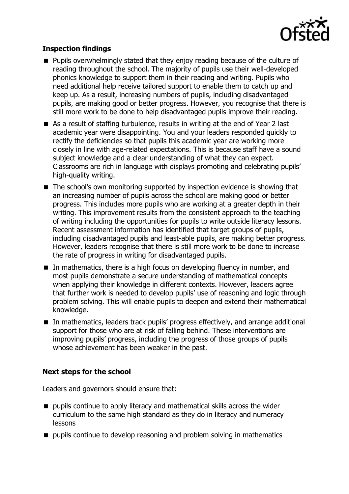

# **Inspection findings**

- **Pupils overwhelmingly stated that they enjoy reading because of the culture of** reading throughout the school. The majority of pupils use their well-developed phonics knowledge to support them in their reading and writing. Pupils who need additional help receive tailored support to enable them to catch up and keep up. As a result, increasing numbers of pupils, including disadvantaged pupils, are making good or better progress. However, you recognise that there is still more work to be done to help disadvantaged pupils improve their reading.
- As a result of staffing turbulence, results in writing at the end of Year 2 last academic year were disappointing. You and your leaders responded quickly to rectify the deficiencies so that pupils this academic year are working more closely in line with age-related expectations. This is because staff have a sound subject knowledge and a clear understanding of what they can expect. Classrooms are rich in language with displays promoting and celebrating pupils' high-quality writing.
- The school's own monitoring supported by inspection evidence is showing that an increasing number of pupils across the school are making good or better progress. This includes more pupils who are working at a greater depth in their writing. This improvement results from the consistent approach to the teaching of writing including the opportunities for pupils to write outside literacy lessons. Recent assessment information has identified that target groups of pupils, including disadvantaged pupils and least-able pupils, are making better progress. However, leaders recognise that there is still more work to be done to increase the rate of progress in writing for disadvantaged pupils.
- In mathematics, there is a high focus on developing fluency in number, and most pupils demonstrate a secure understanding of mathematical concepts when applying their knowledge in different contexts. However, leaders agree that further work is needed to develop pupils' use of reasoning and logic through problem solving. This will enable pupils to deepen and extend their mathematical knowledge.
- In mathematics, leaders track pupils' progress effectively, and arrange additional support for those who are at risk of falling behind. These interventions are improving pupils' progress, including the progress of those groups of pupils whose achievement has been weaker in the past.

### **Next steps for the school**

Leaders and governors should ensure that:

- $\blacksquare$  pupils continue to apply literacy and mathematical skills across the wider curriculum to the same high standard as they do in literacy and numeracy lessons
- $\blacksquare$  pupils continue to develop reasoning and problem solving in mathematics